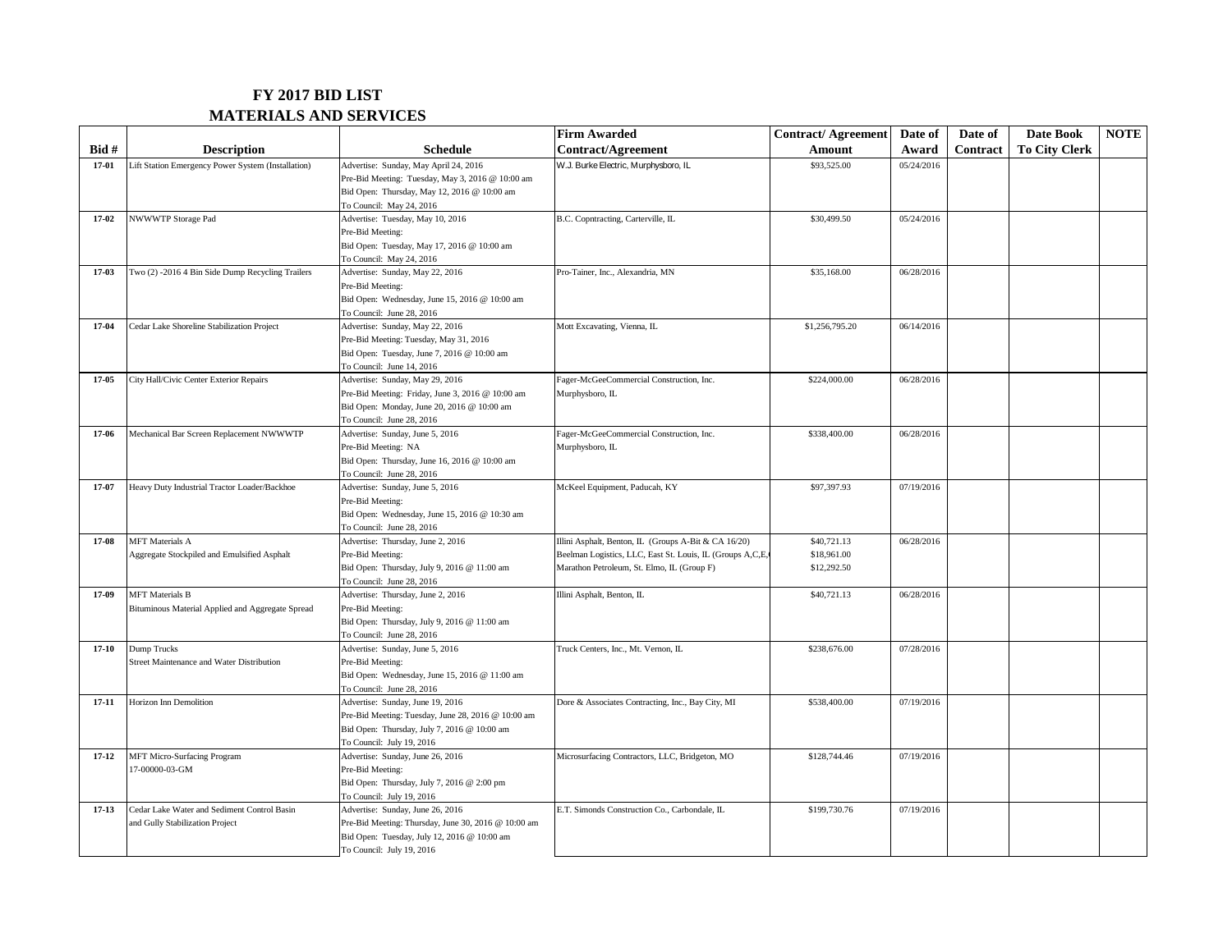## **FY 2017 BID LIST MATERIALS AND SERVICES**

|           |                                                    |                                                                | <b>Firm Awarded</b>                                       | Contract/Agreement | Date of    | Date of         | Date Book            | <b>NOTE</b> |
|-----------|----------------------------------------------------|----------------------------------------------------------------|-----------------------------------------------------------|--------------------|------------|-----------------|----------------------|-------------|
| $Bid#$    | <b>Description</b>                                 | <b>Schedule</b>                                                | Contract/Agreement                                        | Amount             | Award      | <b>Contract</b> | <b>To City Clerk</b> |             |
| 17-01     | Lift Station Emergency Power System (Installation) | Advertise: Sunday, May April 24, 2016                          | W.J. Burke Electric, Murphysboro, IL                      | \$93,525.00        | 05/24/2016 |                 |                      |             |
|           |                                                    | Pre-Bid Meeting: Tuesday, May 3, 2016 @ 10:00 am               |                                                           |                    |            |                 |                      |             |
|           |                                                    | Bid Open: Thursday, May 12, 2016 @ 10:00 am                    |                                                           |                    |            |                 |                      |             |
|           |                                                    | To Council: May 24, 2016                                       |                                                           |                    |            |                 |                      |             |
| $17-02$   | NWWWTP Storage Pad                                 | Advertise: Tuesday, May 10, 2016                               | B.C. Copntracting, Carterville, IL                        | \$30,499.50        | 05/24/2016 |                 |                      |             |
|           |                                                    | Pre-Bid Meeting:                                               |                                                           |                    |            |                 |                      |             |
|           |                                                    | Bid Open: Tuesday, May 17, 2016 @ 10:00 am                     |                                                           |                    |            |                 |                      |             |
|           |                                                    | To Council: May 24, 2016                                       |                                                           |                    |            |                 |                      |             |
| $17-03$   | Two (2) -2016 4 Bin Side Dump Recycling Trailers   | Advertise: Sunday, May 22, 2016                                | Pro-Tainer, Inc., Alexandria, MN                          | \$35,168.00        | 06/28/2016 |                 |                      |             |
|           |                                                    | Pre-Bid Meeting:                                               |                                                           |                    |            |                 |                      |             |
|           |                                                    | Bid Open: Wednesday, June 15, 2016 @ 10:00 am                  |                                                           |                    |            |                 |                      |             |
|           |                                                    | To Council: June 28, 2016                                      |                                                           |                    |            |                 |                      |             |
| $17-04$   | Cedar Lake Shoreline Stabilization Project         | Advertise: Sunday, May 22, 2016                                | Mott Excavating, Vienna, IL                               | \$1,256,795.20     | 06/14/2016 |                 |                      |             |
|           |                                                    | Pre-Bid Meeting: Tuesday, May 31, 2016                         |                                                           |                    |            |                 |                      |             |
|           |                                                    | Bid Open: Tuesday, June 7, 2016 @ 10:00 am                     |                                                           |                    |            |                 |                      |             |
|           |                                                    | To Council: June 14, 2016                                      |                                                           |                    |            |                 |                      |             |
| $17-05$   | City Hall/Civic Center Exterior Repairs            | Advertise: Sunday, May 29, 2016                                | Fager-McGeeCommercial Construction, Inc.                  | \$224,000.00       | 06/28/2016 |                 |                      |             |
|           |                                                    | Pre-Bid Meeting: Friday, June 3, 2016 @ 10:00 am               | Murphysboro, IL                                           |                    |            |                 |                      |             |
|           |                                                    | Bid Open: Monday, June 20, 2016 @ 10:00 am                     |                                                           |                    |            |                 |                      |             |
|           |                                                    | To Council: June 28, 2016                                      |                                                           |                    |            |                 |                      |             |
| 17-06     | Mechanical Bar Screen Replacement NWWWTP           | Advertise: Sunday, June 5, 2016                                | Fager-McGeeCommercial Construction, Inc.                  | \$338,400.00       | 06/28/2016 |                 |                      |             |
|           |                                                    | Pre-Bid Meeting: NA                                            | Murphysboro, IL                                           |                    |            |                 |                      |             |
|           |                                                    | Bid Open: Thursday, June 16, 2016 @ 10:00 am                   |                                                           |                    |            |                 |                      |             |
|           |                                                    | To Council: June 28, 2016                                      |                                                           |                    |            |                 |                      |             |
| 17-07     | Heavy Duty Industrial Tractor Loader/Backhoe       | Advertise: Sunday, June 5, 2016                                | McKeel Equipment, Paducah, KY                             | \$97,397.93        | 07/19/2016 |                 |                      |             |
|           |                                                    | Pre-Bid Meeting:                                               |                                                           |                    |            |                 |                      |             |
|           |                                                    | Bid Open: Wednesday, June 15, 2016 @ 10:30 am                  |                                                           |                    |            |                 |                      |             |
|           |                                                    | To Council: June 28, 2016                                      |                                                           |                    |            |                 |                      |             |
| 17-08     | <b>MFT</b> Materials A                             | Advertise: Thursday, June 2, 2016                              | Illini Asphalt, Benton, IL (Groups A-Bit & CA 16/20)      | \$40,721.13        | 06/28/2016 |                 |                      |             |
|           | Aggregate Stockpiled and Emulsified Asphalt        | Pre-Bid Meeting:                                               | Beelman Logistics, LLC, East St. Louis, IL (Groups A,C,E, | \$18,961.00        |            |                 |                      |             |
|           |                                                    | Bid Open: Thursday, July 9, 2016 @ 11:00 am                    | Marathon Petroleum, St. Elmo, IL (Group F)                | \$12,292.50        |            |                 |                      |             |
| 17-09     | <b>MFT</b> Materials B                             | To Council: June 28, 2016<br>Advertise: Thursday, June 2, 2016 | Illini Asphalt, Benton, IL                                |                    | 06/28/2016 |                 |                      |             |
|           | Bituminous Material Applied and Aggregate Spread   | Pre-Bid Meeting:                                               |                                                           | \$40,721.13        |            |                 |                      |             |
|           |                                                    | Bid Open: Thursday, July 9, 2016 @ 11:00 am                    |                                                           |                    |            |                 |                      |             |
|           |                                                    | To Council: June 28, 2016                                      |                                                           |                    |            |                 |                      |             |
| $17 - 10$ | Dump Trucks                                        | Advertise: Sunday, June 5, 2016                                | Truck Centers, Inc., Mt. Vernon, IL                       | \$238,676.00       | 07/28/2016 |                 |                      |             |
|           | Street Maintenance and Water Distribution          | Pre-Bid Meeting:                                               |                                                           |                    |            |                 |                      |             |
|           |                                                    | Bid Open: Wednesday, June 15, 2016 @ 11:00 am                  |                                                           |                    |            |                 |                      |             |
|           |                                                    | To Council: June 28, 2016                                      |                                                           |                    |            |                 |                      |             |
| $17 - 11$ | Horizon Inn Demolition                             | Advertise: Sunday, June 19, 2016                               | Dore & Associates Contracting, Inc., Bay City, MI         | \$538,400.00       | 07/19/2016 |                 |                      |             |
|           |                                                    | Pre-Bid Meeting: Tuesday, June 28, 2016 @ 10:00 am             |                                                           |                    |            |                 |                      |             |
|           |                                                    | Bid Open: Thursday, July 7, 2016 @ 10:00 am                    |                                                           |                    |            |                 |                      |             |
|           |                                                    | To Council: July 19, 2016                                      |                                                           |                    |            |                 |                      |             |
| $17 - 12$ | MFT Micro-Surfacing Program                        | Advertise: Sunday, June 26, 2016                               | Microsurfacing Contractors, LLC, Bridgeton, MO            | \$128,744.46       | 07/19/2016 |                 |                      |             |
|           | 17-00000-03-GM                                     | Pre-Bid Meeting:                                               |                                                           |                    |            |                 |                      |             |
|           |                                                    | Bid Open: Thursday, July 7, 2016 @ 2:00 pm                     |                                                           |                    |            |                 |                      |             |
|           |                                                    | To Council: July 19, 2016                                      |                                                           |                    |            |                 |                      |             |
| $17 - 13$ | Cedar Lake Water and Sediment Control Basin        | Advertise: Sunday, June 26, 2016                               | E.T. Simonds Construction Co., Carbondale, IL             | \$199,730.76       | 07/19/2016 |                 |                      |             |
|           | and Gully Stabilization Project                    | Pre-Bid Meeting: Thursday, June 30, 2016 @ 10:00 am            |                                                           |                    |            |                 |                      |             |
|           |                                                    | Bid Open: Tuesday, July 12, 2016 @ 10:00 am                    |                                                           |                    |            |                 |                      |             |
|           |                                                    | To Council: July 19, 2016                                      |                                                           |                    |            |                 |                      |             |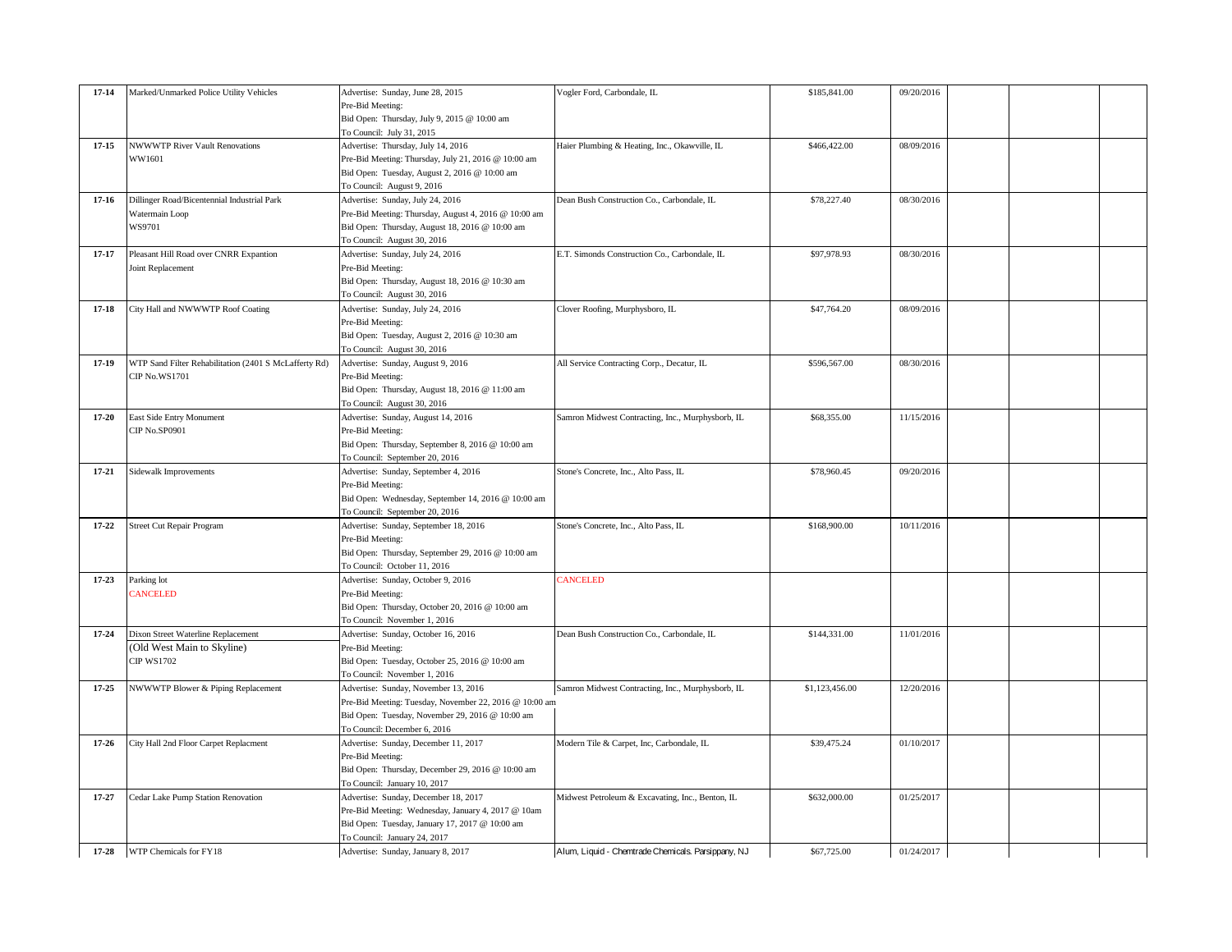| $17 - 14$ | Marked/Unmarked Police Utility Vehicles               | Advertise: Sunday, June 28, 2015                       | Vogler Ford, Carbondale, IL                        | \$185,841.00   | 09/20/2016 |  |
|-----------|-------------------------------------------------------|--------------------------------------------------------|----------------------------------------------------|----------------|------------|--|
|           |                                                       | Pre-Bid Meeting:                                       |                                                    |                |            |  |
|           |                                                       | Bid Open: Thursday, July 9, 2015 @ 10:00 am            |                                                    |                |            |  |
|           |                                                       | To Council: July 31, 2015                              |                                                    |                |            |  |
| $17 - 15$ | <b>NWWWTP River Vault Renovations</b>                 | Advertise: Thursday, July 14, 2016                     | Haier Plumbing & Heating, Inc., Okawville, IL      | \$466,422.00   | 08/09/2016 |  |
|           | WW1601                                                | Pre-Bid Meeting: Thursday, July 21, 2016 @ 10:00 am    |                                                    |                |            |  |
|           |                                                       | Bid Open: Tuesday, August 2, 2016 @ 10:00 am           |                                                    |                |            |  |
|           |                                                       | To Council: August 9, 2016                             |                                                    |                |            |  |
| $17 - 16$ | Dillinger Road/Bicentennial Industrial Park           | Advertise: Sunday, July 24, 2016                       | Dean Bush Construction Co., Carbondale, IL         | \$78,227.40    | 08/30/2016 |  |
|           | Watermain Loop                                        | Pre-Bid Meeting: Thursday, August 4, 2016 @ 10:00 am   |                                                    |                |            |  |
|           | WS9701                                                | Bid Open: Thursday, August 18, 2016 @ 10:00 am         |                                                    |                |            |  |
|           |                                                       | To Council: August 30, 2016                            |                                                    |                |            |  |
| $17 - 17$ | Pleasant Hill Road over CNRR Expantion                | Advertise: Sunday, July 24, 2016                       | E.T. Simonds Construction Co., Carbondale, IL      | \$97,978.93    | 08/30/2016 |  |
|           | Joint Replacement                                     | Pre-Bid Meeting:                                       |                                                    |                |            |  |
|           |                                                       |                                                        |                                                    |                |            |  |
|           |                                                       | Bid Open: Thursday, August 18, 2016 @ 10:30 am         |                                                    |                |            |  |
|           |                                                       | To Council: August 30, 2016                            |                                                    |                |            |  |
| $17 - 18$ | City Hall and NWWWTP Roof Coating                     | Advertise: Sunday, July 24, 2016                       | Clover Roofing, Murphysboro, IL                    | \$47,764.20    | 08/09/2016 |  |
|           |                                                       | Pre-Bid Meeting:                                       |                                                    |                |            |  |
|           |                                                       | Bid Open: Tuesday, August 2, 2016 @ 10:30 am           |                                                    |                |            |  |
|           |                                                       | To Council: August 30, 2016                            |                                                    |                |            |  |
| $17-19$   | WTP Sand Filter Rehabilitation (2401 S McLafferty Rd) | Advertise: Sunday, August 9, 2016                      | All Service Contracting Corp., Decatur, IL         | \$596,567.00   | 08/30/2016 |  |
|           | CIP No.WS1701                                         | Pre-Bid Meeting:                                       |                                                    |                |            |  |
|           |                                                       | Bid Open: Thursday, August 18, 2016 @ 11:00 am         |                                                    |                |            |  |
|           |                                                       | To Council: August 30, 2016                            |                                                    |                |            |  |
| $17 - 20$ | East Side Entry Monument                              | Advertise: Sunday, August 14, 2016                     | Samron Midwest Contracting, Inc., Murphysborb, IL  | \$68,355.00    | 11/15/2016 |  |
|           | CIP No.SP0901                                         | Pre-Bid Meeting:                                       |                                                    |                |            |  |
|           |                                                       | Bid Open: Thursday, September 8, 2016 @ 10:00 am       |                                                    |                |            |  |
|           |                                                       |                                                        |                                                    |                |            |  |
|           |                                                       | To Council: September 20, 2016                         |                                                    |                |            |  |
| $17 - 21$ | Sidewalk Improvements                                 | Advertise: Sunday, September 4, 2016                   | Stone's Concrete, Inc., Alto Pass, IL              | \$78,960.45    | 09/20/2016 |  |
|           |                                                       | Pre-Bid Meeting:                                       |                                                    |                |            |  |
|           |                                                       | Bid Open: Wednesday, September 14, 2016 @ 10:00 am     |                                                    |                |            |  |
|           |                                                       | To Council: September 20, 2016                         |                                                    |                |            |  |
| $17 - 22$ | <b>Street Cut Repair Program</b>                      | Advertise: Sunday, September 18, 2016                  | Stone's Concrete, Inc., Alto Pass, IL              | \$168,900.00   | 10/11/2016 |  |
|           |                                                       | Pre-Bid Meeting:                                       |                                                    |                |            |  |
|           |                                                       | Bid Open: Thursday, September 29, 2016 @ 10:00 am      |                                                    |                |            |  |
|           |                                                       | To Council: October 11, 2016                           |                                                    |                |            |  |
| 17-23     | Parking lot                                           | Advertise: Sunday, October 9, 2016                     | CANCELED                                           |                |            |  |
|           | CANCELED                                              | Pre-Bid Meeting:                                       |                                                    |                |            |  |
|           |                                                       | Bid Open: Thursday, October 20, 2016 @ 10:00 am        |                                                    |                |            |  |
|           |                                                       | To Council: November 1, 2016                           |                                                    |                |            |  |
| $17 - 24$ | Dixon Street Waterline Replacement                    | Advertise: Sunday, October 16, 2016                    | Dean Bush Construction Co., Carbondale, IL         | \$144,331.00   | 11/01/2016 |  |
|           | (Old West Main to Skyline)                            |                                                        |                                                    |                |            |  |
|           |                                                       | Pre-Bid Meeting:                                       |                                                    |                |            |  |
|           | <b>CIP WS1702</b>                                     | Bid Open: Tuesday, October 25, 2016 @ 10:00 am         |                                                    |                |            |  |
|           |                                                       | To Council: November 1, 2016                           |                                                    |                |            |  |
| $17 - 25$ | NWWWTP Blower & Piping Replacement                    | Advertise: Sunday, November 13, 2016                   | Samron Midwest Contracting, Inc., Murphysborb, IL  | \$1,123,456.00 | 12/20/2016 |  |
|           |                                                       | Pre-Bid Meeting: Tuesday, November 22, 2016 @ 10:00 am |                                                    |                |            |  |
|           |                                                       | Bid Open: Tuesday, November 29, 2016 @ 10:00 am        |                                                    |                |            |  |
|           |                                                       | To Council: December 6, 2016                           |                                                    |                |            |  |
| $17 - 26$ | City Hall 2nd Floor Carpet Replacment                 | Advertise: Sunday, December 11, 2017                   | Modern Tile & Carpet, Inc, Carbondale, IL          | \$39,475.24    | 01/10/2017 |  |
|           |                                                       | Pre-Bid Meeting:                                       |                                                    |                |            |  |
|           |                                                       | Bid Open: Thursday, December 29, 2016 @ 10:00 am       |                                                    |                |            |  |
|           |                                                       | To Council: January 10, 2017                           |                                                    |                |            |  |
| 17-27     | Cedar Lake Pump Station Renovation                    | Advertise: Sunday, December 18, 2017                   | Midwest Petroleum & Excavating, Inc., Benton, IL   | \$632,000.00   | 01/25/2017 |  |
|           |                                                       | Pre-Bid Meeting: Wednesday, January 4, 2017 @ 10am     |                                                    |                |            |  |
|           |                                                       | Bid Open: Tuesday, January 17, 2017 @ 10:00 am         |                                                    |                |            |  |
|           |                                                       | To Council: January 24, 2017                           |                                                    |                |            |  |
|           |                                                       |                                                        |                                                    |                |            |  |
| $17 - 28$ | WTP Chemicals for FY18                                | Advertise: Sunday, January 8, 2017                     | Alum, Liquid - Chemtrade Chemicals. Parsippany, NJ | \$67,725.00    | 01/24/2017 |  |